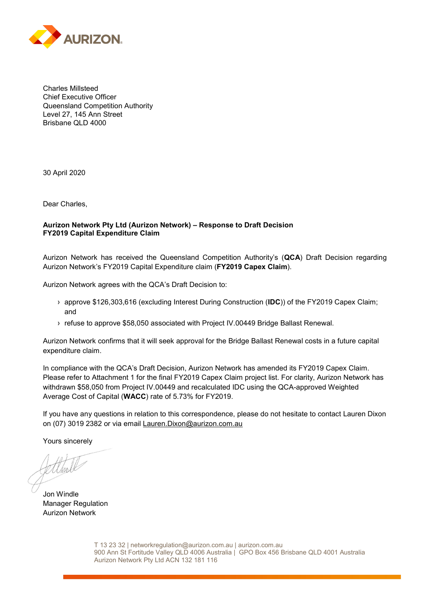

Charles Millsteed Chief Executive Officer Queensland Competition Authority Level 27, 145 Ann Street Brisbane QLD 4000

30 April 2020

Dear Charles,

## **Aurizon Network Pty Ltd (Aurizon Network) – Response to Draft Decision FY2019 Capital Expenditure Claim**

Aurizon Network has received the Queensland Competition Authority's (**QCA**) Draft Decision regarding Aurizon Network's FY2019 Capital Expenditure claim (**FY2019 Capex Claim**).

Aurizon Network agrees with the QCA's Draft Decision to:

- **›** approve \$126,303,616 (excluding Interest During Construction (**IDC**)) of the FY2019 Capex Claim; and
- **›** refuse to approve \$58,050 associated with Project IV.00449 Bridge Ballast Renewal.

Aurizon Network confirms that it will seek approval for the Bridge Ballast Renewal costs in a future capital expenditure claim.

In compliance with the QCA's Draft Decision, Aurizon Network has amended its FY2019 Capex Claim. Please refer to Attachment 1 for the final FY2019 Capex Claim project list. For clarity, Aurizon Network has withdrawn \$58,050 from Project IV.00449 and recalculated IDC using the QCA-approved Weighted Average Cost of Capital (**WACC**) rate of 5.73% for FY2019.

If you have any questions in relation to this correspondence, please do not hesitate to contact Lauren Dixon on (07) 3019 2382 or via email [Lauren.Dixon@aurizon.com.au](mailto:Lauren.Dixon@aurizon.com.au) 

Yours sincerely

 $\mathcal{I}$ 

Jon Windle Manager Regulation Aurizon Network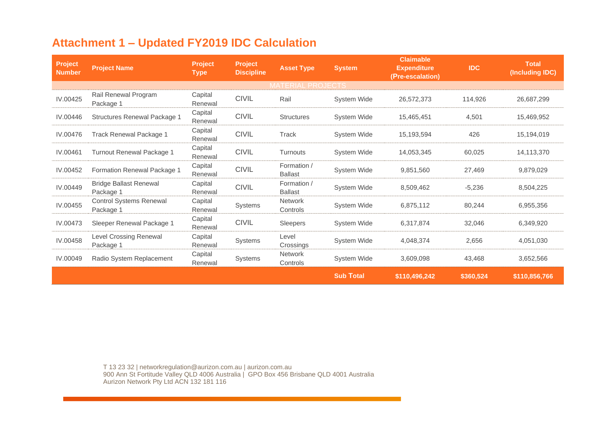## **Attachment 1 – Updated FY2019 IDC Calculation**

| <b>Project</b><br><b>Number</b> | <b>Project Name</b>                         | <b>Project</b><br><b>Type</b> | Project<br><b>Discipline</b> | <b>Asset Type</b>             | <b>Claimable</b><br><b>System</b><br><b>Expenditure</b><br>(Pre-escalation) |               | <b>IDC</b> | <b>Total</b><br>(Including IDC) |  |  |
|---------------------------------|---------------------------------------------|-------------------------------|------------------------------|-------------------------------|-----------------------------------------------------------------------------|---------------|------------|---------------------------------|--|--|
| <b>MATERIAL PROJECTS</b>        |                                             |                               |                              |                               |                                                                             |               |            |                                 |  |  |
| IV.00425                        | Rail Renewal Program<br>Package 1           | Capital<br>Renewal            | <b>CIVIL</b>                 | Rail                          | <b>System Wide</b>                                                          | 26,572,373    | 114,926    | 26,687,299                      |  |  |
| IV.00446                        | Structures Renewal Package 1                | Capital<br>Renewal            | <b>CIVIL</b>                 | <b>Structures</b>             | <b>System Wide</b>                                                          | 15,465,451    | 4,501      | 15,469,952                      |  |  |
| IV.00476                        | Track Renewal Package 1                     | Capital<br>Renewal            | <b>CIVIL</b>                 | Track                         | <b>System Wide</b>                                                          | 15,193,594    | 426        | 15,194,019                      |  |  |
| IV.00461                        | Turnout Renewal Package 1                   | Capital<br>Renewal            | <b>CIVIL</b>                 | <b>Turnouts</b>               | <b>System Wide</b>                                                          | 14,053,345    | 60,025     | 14,113,370                      |  |  |
| IV.00452                        | Formation Renewal Package 1                 | Capital<br>Renewal            | <b>CIVIL</b>                 | Formation /<br><b>Ballast</b> | System Wide                                                                 | 9,851,560     | 27,469     | 9,879,029                       |  |  |
| IV.00449                        | <b>Bridge Ballast Renewal</b><br>Package 1  | Capital<br>Renewal            | <b>CIVIL</b>                 | Formation /<br><b>Ballast</b> | System Wide                                                                 | 8,509,462     | $-5,236$   | 8,504,225                       |  |  |
| IV.00455                        | <b>Control Systems Renewal</b><br>Package 1 | Capital<br>Renewal            | Systems                      | <b>Network</b><br>Controls    | System Wide                                                                 | 6,875,112     | 80,244     | 6,955,356                       |  |  |
| IV.00473                        | Sleeper Renewal Package 1                   | Capital<br>Renewal            | <b>CIVIL</b>                 | <b>Sleepers</b>               | <b>System Wide</b>                                                          | 6,317,874     | 32,046     | 6,349,920                       |  |  |
| IV.00458                        | <b>Level Crossing Renewal</b><br>Package 1  | Capital<br>Renewal            | <b>Systems</b>               | Level<br>Crossings            | System Wide                                                                 | 4,048,374     | 2,656      | 4,051,030                       |  |  |
| IV.00049                        | Radio System Replacement                    | Capital<br>Renewal            | <b>Systems</b>               | <b>Network</b><br>Controls    | System Wide                                                                 | 3,609,098     |            | 3,652,566                       |  |  |
|                                 |                                             |                               |                              |                               | <b>Sub Total</b>                                                            | \$110,496,242 | \$360,524  | \$110,856,766                   |  |  |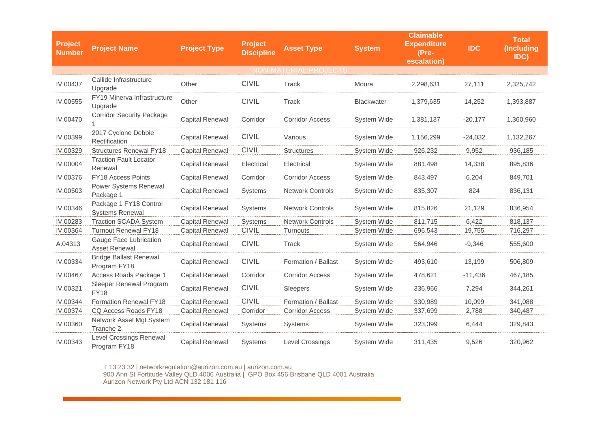| <b>Project</b><br><b>Number</b> | <b>Project Name</b>                              | <b>Project Type</b>    | <b>Project</b><br><b>Discipline</b> | <b>Asset Type</b>       | <b>System</b>     | <b>Claimable</b><br><b>Expenditure</b><br>(Pre-<br>escalation) | <b>IDC</b> | <b>Total</b><br>(Including<br>IDC) |
|---------------------------------|--------------------------------------------------|------------------------|-------------------------------------|-------------------------|-------------------|----------------------------------------------------------------|------------|------------------------------------|
| <b>NON-MATERIAL PROJECTS</b>    |                                                  |                        |                                     |                         |                   |                                                                |            |                                    |
| IV.00437                        | Callide Infrastructure<br>Upgrade                | Other                  | <b>CIVIL</b>                        | Track                   | Moura             | 2,298,631                                                      | 27,111     | 2,325,742                          |
| IV.00555                        | FY19 Minerva Infrastructure<br>Upgrade           | Other                  | <b>CIVIL</b>                        | Track                   | <b>Blackwater</b> | 1,379,635                                                      | 14,252     | 1,393,887                          |
| IV.00470                        | <b>Corridor Security Package</b>                 | <b>Capital Renewal</b> | Corridor                            | <b>Corridor Access</b>  | System Wide       | 1,381,137                                                      | $-20,177$  | 1,360,960                          |
| IV.00399                        | 2017 Cyclone Debbie<br>Rectification             | <b>Capital Renewal</b> | <b>CIVIL</b>                        | Various                 | System Wide       | 1,156,299                                                      | $-24,032$  | 1,132,267                          |
| IV.00329                        | <b>Structures Renewal FY18</b>                   | <b>Capital Renewal</b> | <b>CIVIL</b>                        | <b>Structures</b>       | System Wide       | 926,232                                                        | 9,952      | 936,185                            |
| IV.00004                        | <b>Traction Fault Locator</b><br>Renewal         | <b>Capital Renewal</b> | Electrical                          | Electrical              | System Wide       | 881,498                                                        | 14,338     | 895,836                            |
| IV.00376                        | <b>FY18 Access Points</b>                        | <b>Capital Renewal</b> | Corridor                            | <b>Corridor Access</b>  | System Wide       | 843,497                                                        | 6,204      | 849,701                            |
| IV.00503                        | Power Systems Renewal<br>Package 1               | <b>Capital Renewal</b> | Systems                             | <b>Network Controls</b> | System Wide       | 835,307                                                        | 824        | 836,131                            |
| IV.00346                        | Package 1 FY18 Control<br><b>Systems Renewal</b> | <b>Capital Renewal</b> | Systems                             | <b>Network Controls</b> | System Wide       | 815,826                                                        | 21,129     | 836,954                            |
| IV.00283                        | <b>Traction SCADA System</b>                     | <b>Capital Renewal</b> | <b>Systems</b>                      | <b>Network Controls</b> | System Wide       | 811,715                                                        | 6,422      | 818,137                            |
| IV.00364                        | <b>Turnout Renewal FY18</b>                      | <b>Capital Renewal</b> | <b>CIVIL</b>                        | Turnouts                | System Wide       | 696,543                                                        | 19,755     | 716,297                            |
| A.04313                         | Gauge Face Lubrication<br><b>Asset Renewal</b>   | Capital Renewal        | <b>CIVIL</b>                        | Track                   | System Wide       | 564,946                                                        | $-9,346$   | 555,600                            |
| IV.00334                        | <b>Bridge Ballast Renewal</b><br>Program FY18    | <b>Capital Renewal</b> | <b>CIVIL</b>                        | Formation / Ballast     | System Wide       | 493,610                                                        | 13,199     | 506,809                            |
| IV.00467                        | Access Roads Package 1                           | <b>Capital Renewal</b> | Corridor                            | <b>Corridor Access</b>  | System Wide       | 478,621                                                        | $-11,436$  | 467,185                            |
| IV.00321                        | Sleeper Renewal Program<br><b>FY18</b>           | <b>Capital Renewal</b> | <b>CIVIL</b>                        | Sleepers                | System Wide       | 336,966                                                        | 7,294      | 344,261                            |
| IV.00344                        | <b>Formation Renewal FY18</b>                    | <b>Capital Renewal</b> | <b>CIVIL</b>                        | Formation / Ballast     | System Wide       | 330,989                                                        | 10,099     | 341,088                            |
| IV.00374                        | CQ Access Roads FY18                             | <b>Capital Renewal</b> | Corridor                            | <b>Corridor Access</b>  | System Wide       | 337,699                                                        | 2,788      | 340,487                            |
| IV.00360                        | Network Asset Mgt System<br>Tranche 2            | <b>Capital Renewal</b> | <b>Systems</b>                      | Systems                 | System Wide       | 323,399                                                        | 6,444      | 329,843                            |
| IV.00343                        | Level Crossings Renewal<br>Program FY18          | <b>Capital Renewal</b> | <b>Systems</b>                      | <b>Level Crossings</b>  | System Wide       | 311,435                                                        | 9,526      | 320,962                            |